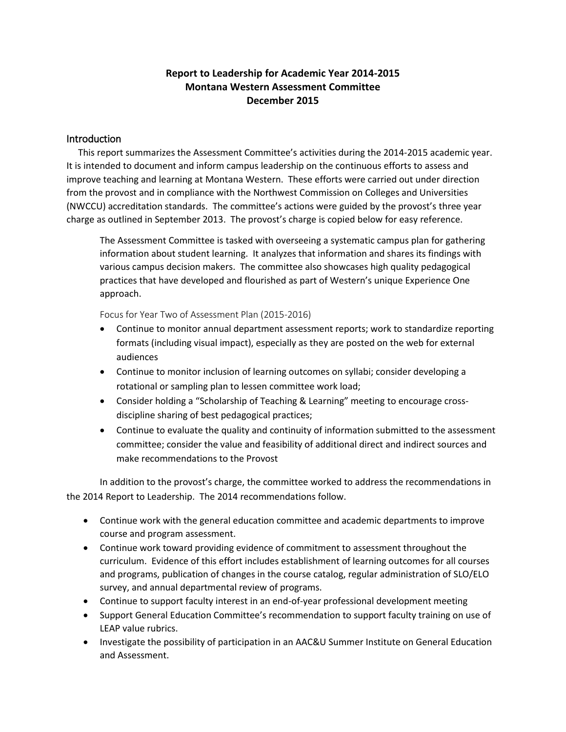# **Report to Leadership for Academic Year 2014-2015 Montana Western Assessment Committee December 2015**

### **Introduction**

 This report summarizes the Assessment Committee's activities during the 2014-2015 academic year. It is intended to document and inform campus leadership on the continuous efforts to assess and improve teaching and learning at Montana Western. These efforts were carried out under direction from the provost and in compliance with the Northwest Commission on Colleges and Universities (NWCCU) accreditation standards. The committee's actions were guided by the provost's three year charge as outlined in September 2013. The provost's charge is copied below for easy reference.

The Assessment Committee is tasked with overseeing a systematic campus plan for gathering information about student learning. It analyzes that information and shares its findings with various campus decision makers. The committee also showcases high quality pedagogical practices that have developed and flourished as part of Western's unique Experience One approach.

Focus for Year Two of Assessment Plan (2015-2016)

- Continue to monitor annual department assessment reports; work to standardize reporting formats (including visual impact), especially as they are posted on the web for external audiences
- Continue to monitor inclusion of learning outcomes on syllabi; consider developing a rotational or sampling plan to lessen committee work load;
- Consider holding a "Scholarship of Teaching & Learning" meeting to encourage crossdiscipline sharing of best pedagogical practices;
- Continue to evaluate the quality and continuity of information submitted to the assessment committee; consider the value and feasibility of additional direct and indirect sources and make recommendations to the Provost

In addition to the provost's charge, the committee worked to address the recommendations in the 2014 Report to Leadership. The 2014 recommendations follow.

- Continue work with the general education committee and academic departments to improve course and program assessment.
- Continue work toward providing evidence of commitment to assessment throughout the curriculum. Evidence of this effort includes establishment of learning outcomes for all courses and programs, publication of changes in the course catalog, regular administration of SLO/ELO survey, and annual departmental review of programs.
- Continue to support faculty interest in an end-of-year professional development meeting
- Support General Education Committee's recommendation to support faculty training on use of LEAP value rubrics.
- Investigate the possibility of participation in an AAC&U Summer Institute on General Education and Assessment.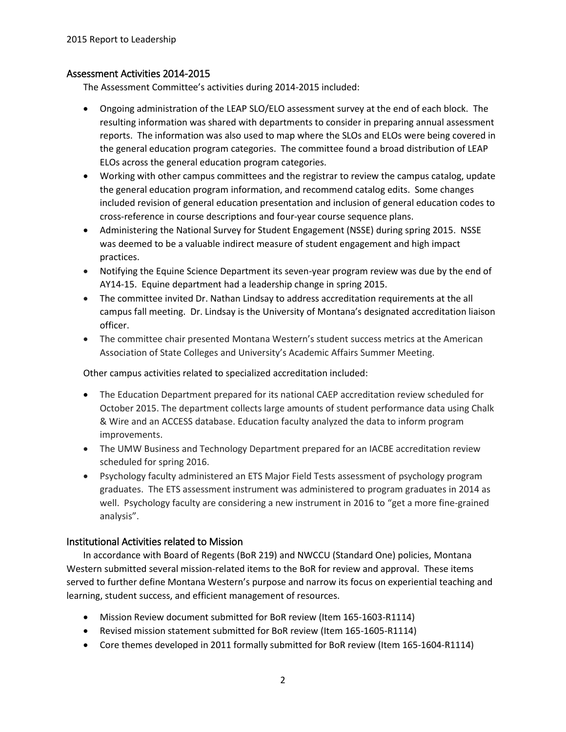### Assessment Activities 2014-2015

The Assessment Committee's activities during 2014-2015 included:

- Ongoing administration of the LEAP SLO/ELO assessment survey at the end of each block. The resulting information was shared with departments to consider in preparing annual assessment reports. The information was also used to map where the SLOs and ELOs were being covered in the general education program categories. The committee found a broad distribution of LEAP ELOs across the general education program categories.
- Working with other campus committees and the registrar to review the campus catalog, update the general education program information, and recommend catalog edits. Some changes included revision of general education presentation and inclusion of general education codes to cross-reference in course descriptions and four-year course sequence plans.
- Administering the National Survey for Student Engagement (NSSE) during spring 2015. NSSE was deemed to be a valuable indirect measure of student engagement and high impact practices.
- Notifying the Equine Science Department its seven-year program review was due by the end of AY14-15. Equine department had a leadership change in spring 2015.
- The committee invited Dr. Nathan Lindsay to address accreditation requirements at the all campus fall meeting. Dr. Lindsay is the University of Montana's designated accreditation liaison officer.
- The committee chair presented Montana Western's student success metrics at the American Association of State Colleges and University's Academic Affairs Summer Meeting.

Other campus activities related to specialized accreditation included:

- The Education Department prepared for its national CAEP accreditation review scheduled for October 2015. The department collects large amounts of student performance data using Chalk & Wire and an ACCESS database. Education faculty analyzed the data to inform program improvements.
- The UMW Business and Technology Department prepared for an IACBE accreditation review scheduled for spring 2016.
- Psychology faculty administered an ETS Major Field Tests assessment of psychology program graduates. The ETS assessment instrument was administered to program graduates in 2014 as well. Psychology faculty are considering a new instrument in 2016 to "get a more fine-grained analysis".

### Institutional Activities related to Mission

In accordance with Board of Regents (BoR 219) and NWCCU (Standard One) policies, Montana Western submitted several mission-related items to the BoR for review and approval. These items served to further define Montana Western's purpose and narrow its focus on experiential teaching and learning, student success, and efficient management of resources.

- Mission Review document submitted for BoR review (Item 165-1603-R1114)
- Revised mission statement submitted for BoR review (Item 165-1605-R1114)
- Core themes developed in 2011 formally submitted for BoR review (Item 165-1604-R1114)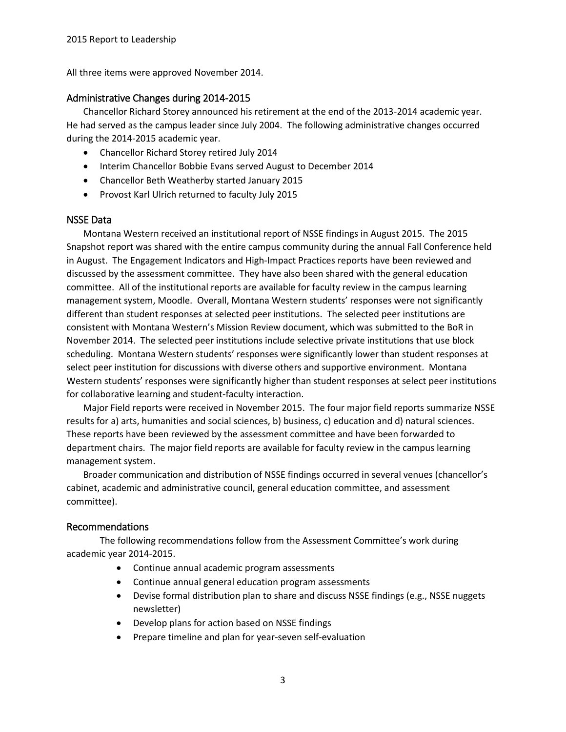All three items were approved November 2014.

### Administrative Changes during 2014-2015

Chancellor Richard Storey announced his retirement at the end of the 2013-2014 academic year. He had served as the campus leader since July 2004. The following administrative changes occurred during the 2014-2015 academic year.

- Chancellor Richard Storey retired July 2014
- Interim Chancellor Bobbie Evans served August to December 2014
- Chancellor Beth Weatherby started January 2015
- Provost Karl Ulrich returned to faculty July 2015

### NSSE Data

Montana Western received an institutional report of NSSE findings in August 2015. The 2015 Snapshot report was shared with the entire campus community during the annual Fall Conference held in August. The Engagement Indicators and High-Impact Practices reports have been reviewed and discussed by the assessment committee. They have also been shared with the general education committee. All of the institutional reports are available for faculty review in the campus learning management system, Moodle. Overall, Montana Western students' responses were not significantly different than student responses at selected peer institutions. The selected peer institutions are consistent with Montana Western's Mission Review document, which was submitted to the BoR in November 2014. The selected peer institutions include selective private institutions that use block scheduling. Montana Western students' responses were significantly lower than student responses at select peer institution for discussions with diverse others and supportive environment. Montana Western students' responses were significantly higher than student responses at select peer institutions for collaborative learning and student-faculty interaction.

Major Field reports were received in November 2015. The four major field reports summarize NSSE results for a) arts, humanities and social sciences, b) business, c) education and d) natural sciences. These reports have been reviewed by the assessment committee and have been forwarded to department chairs. The major field reports are available for faculty review in the campus learning management system.

Broader communication and distribution of NSSE findings occurred in several venues (chancellor's cabinet, academic and administrative council, general education committee, and assessment committee).

#### Recommendations

The following recommendations follow from the Assessment Committee's work during academic year 2014-2015.

- Continue annual academic program assessments
- Continue annual general education program assessments
- Devise formal distribution plan to share and discuss NSSE findings (e.g., NSSE nuggets newsletter)
- Develop plans for action based on NSSE findings
- Prepare timeline and plan for year-seven self-evaluation